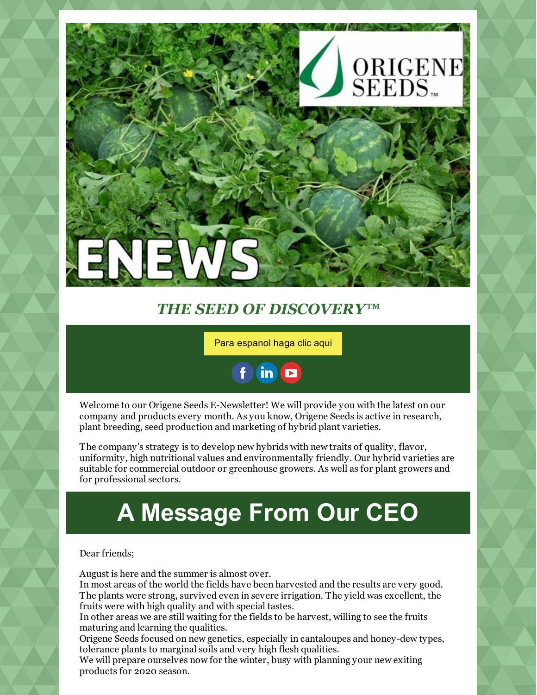

#### *THE SEED OF DISCOVERY™*

Para [espanol](https://www.origeneseeds.com/public/) haga clic aqui



Welcome to our Origene Seeds E-Newsletter! We will provide you with the latest on our company and products every month. As you know, Origene Seeds is active in research, plant breeding, seed production and marketing of hybrid plant varieties.

The company's strategy is to develop new hybrids with new traits of quality, flavor, uniformity, high nutritional values and environmentally friendly. Our hybrid varieties are suitable for commercial outdoor or greenhouse growers. As well as for plant growers and for professional sectors.

# **A Message From Our CEO**

Dear friends;

August is here and the summer is almost over.

In most areas of the world the fields have been harvested and the results are very good. The plants were strong, survived even in severe irrigation. The yield was excellent, the fruits were with high quality and with special tastes.

In other areas we are still waiting for the fields to be harvest, willing to see the fruits maturing and learning the qualities.

Origene Seeds focused on new genetics, especially in cantaloupes and honey-dew types, tolerance plants to marginal soils and very high flesh qualities.

We will prepare ourselves now for the winter, busy with planning your new exiting products for 2020 season.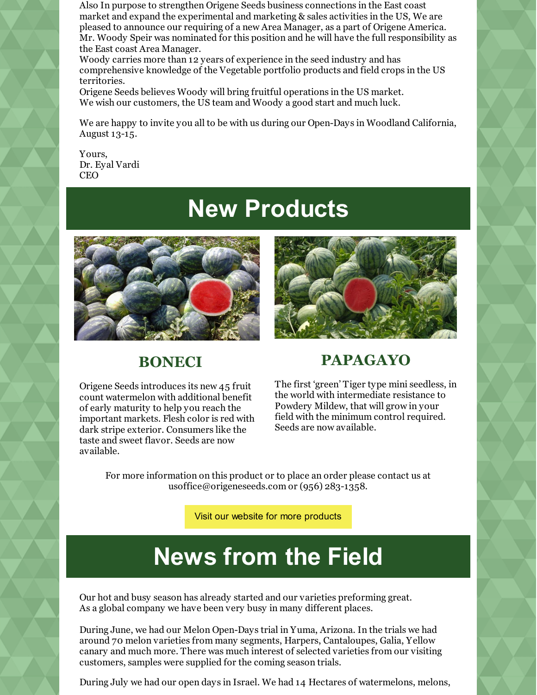Also In purpose to strengthen Origene Seeds business connections in the East coast market and expand the experimental and marketing & sales activities in the US, We are pleased to announce our requiring of a new Area Manager, as a part of Origene America. Mr. Woody Speir was nominated for this position and he will have the full responsibility as the East coast Area Manager.

Woody carries more than 12 years of experience in the seed industry and has comprehensive knowledge of the Vegetable portfolio products and field crops in the US territories.

Origene Seeds believes Woody will bring fruitful operations in the US market. We wish our customers, the US team and Woody a good start and much luck.

We are happy to invite you all to be with us during our Open-Days in Woodland California, August 13-15.

Yours, Dr. Eyal Vardi CEO

### **New Products**



#### **BONECI**

Origene Seeds introduces its new 45 fruit count watermelon with additional benefit of early maturity to help you reach the important markets. Flesh color is red with dark stripe exterior. Consumers like the taste and sweet flavor. Seeds are now available.



#### **PAPAGAYO**

The first 'green' Tiger type mini seedless, in the world with intermediate resistance to Powdery Mildew, that will grow in your field with the minimum control required. Seeds are now available.

For more information on this product or to place an order please contact us at usoffice@origeneseeds.com or (956) 283-1358.

Visit our website for more [products](https://www.origeneseeds.com/public/products)

## **News from the Field**

Our hot and busy season has already started and our varieties preforming great. As a global company we have been very busy in many different places.

During June, we had our Melon Open-Days trial in Yuma, Arizona. In the trials we had around 70 melon varieties from many segments, Harpers, Cantaloupes, Galia, Yellow canary and much more. There was much interest of selected varieties from our visiting customers, samples were supplied for the coming season trials.

During July we had our open days in Israel. We had 14 Hectares of watermelons, melons,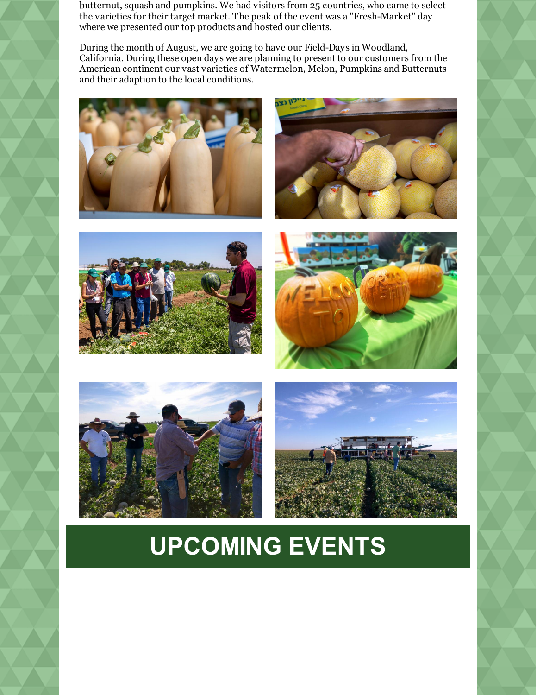butternut, squash and pumpkins. We had visitors from 25 countries, who came to select the varieties for their target market. The peak of the event was a "Fresh-Market" day where we presented our top products and hosted our clients.

During the month of August, we are going to have our Field-Days in Woodland, California. During these open days we are planning to present to our customers from the American continent our vast varieties of Watermelon, Melon, Pumpkins and Butternuts and their adaption to the local conditions.













# **UPCOMING EVENTS**